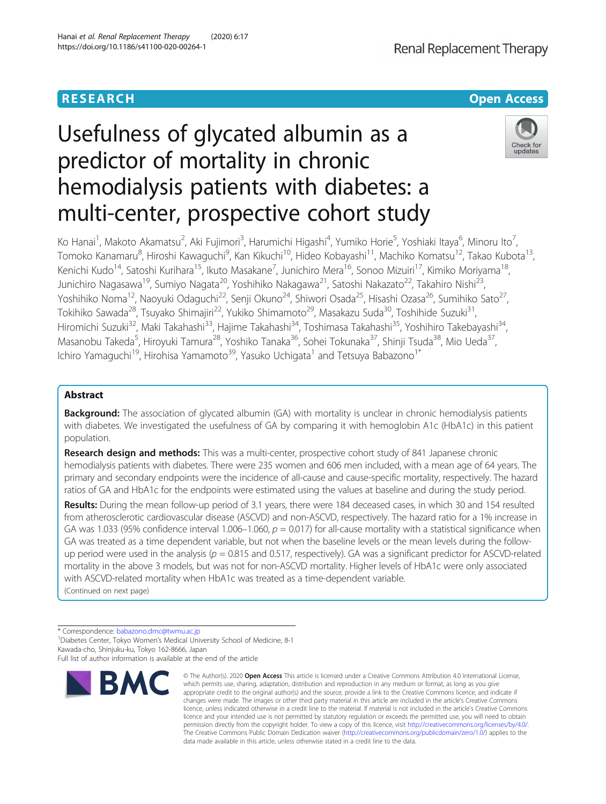#### Hanai et al. Renal Replacement Therapy (2020) 6:17 https://doi.org/10.1186/s41100-020-00264-1

# **RESEARCH CHE Open Access**

Renal Replacement Therapy

# Usefulness of glycated albumin as a predictor of mortality in chronic hemodialysis patients with diabetes: a multi-center, prospective cohort study



Ko Hanai<sup>1</sup>, Makoto Akamatsu<sup>2</sup>, Aki Fujimori<sup>3</sup>, Harumichi Higashi<sup>4</sup>, Yumiko Horie<sup>5</sup>, Yoshiaki Itaya<sup>6</sup>, Minoru Ito<sup>7</sup> , Tomoko Kanamaru<sup>8</sup>, Hiroshi Kawaguchi<sup>9</sup>, Kan Kikuchi<sup>10</sup>, Hideo Kobayashi<sup>11</sup>, Machiko Komatsu<sup>12</sup>, Takao Kubota<sup>13</sup>, Kenichi Kudo<sup>14</sup>, Satoshi Kurihara<sup>15</sup>, Ikuto Masakane<sup>7</sup>, Junichiro Mera<sup>16</sup>, Sonoo Mizuiri<sup>17</sup>, Kimiko Moriyama<sup>18</sup>, Junichiro Nagasawa<sup>19</sup>, Sumiyo Nagata<sup>20</sup>, Yoshihiko Nakagawa<sup>21</sup>, Satoshi Nakazato<sup>22</sup>, Takahiro Nishi<sup>23</sup>, Yoshihiko Noma<sup>12</sup>, Naoyuki Odaguchi<sup>22</sup>, Senji Okuno<sup>24</sup>, Shiwori Osada<sup>25</sup>, Hisashi Ozasa<sup>26</sup>, Sumihiko Sato<sup>27</sup>, Tokihiko Sawada<sup>28</sup>, Tsuyako Shimajiri<sup>22</sup>, Yukiko Shimamoto<sup>29</sup>, Masakazu Suda<sup>30</sup>, Toshihide Suzuki<sup>31</sup>, Hiromichi Suzuki<sup>32</sup>, Maki Takahashi<sup>33</sup>, Hajime Takahashi<sup>34</sup>, Toshimasa Takahashi<sup>35</sup>, Yoshihiro Takebayashi<sup>34</sup>, Masanobu Takeda<sup>5</sup>, Hiroyuki Tamura<sup>28</sup>, Yoshiko Tanaka<sup>36</sup>, Sohei Tokunaka<sup>37</sup>, Shinji Tsuda<sup>38</sup>, Mio Ueda<sup>37</sup>, Ichiro Yamaguchi<sup>19</sup>, Hirohisa Yamamoto<sup>39</sup>, Yasuko Uchigata<sup>1</sup> and Tetsuya Babazono<sup>1\*</sup>

# Abstract

**Background:** The association of glycated albumin (GA) with mortality is unclear in chronic hemodialysis patients with diabetes. We investigated the usefulness of GA by comparing it with hemoglobin A1c (HbA1c) in this patient population.

Research design and methods: This was a multi-center, prospective cohort study of 841 Japanese chronic hemodialysis patients with diabetes. There were 235 women and 606 men included, with a mean age of 64 years. The primary and secondary endpoints were the incidence of all-cause and cause-specific mortality, respectively. The hazard ratios of GA and HbA1c for the endpoints were estimated using the values at baseline and during the study period.

Results: During the mean follow-up period of 3.1 years, there were 184 deceased cases, in which 30 and 154 resulted from atherosclerotic cardiovascular disease (ASCVD) and non-ASCVD, respectively. The hazard ratio for a 1% increase in GA was 1.033 (95% confidence interval 1.006–1.060,  $p = 0.017$ ) for all-cause mortality with a statistical significance when GA was treated as a time dependent variable, but not when the baseline levels or the mean levels during the followup period were used in the analysis ( $p = 0.815$  and 0.517, respectively). GA was a significant predictor for ASCVD-related mortality in the above 3 models, but was not for non-ASCVD mortality. Higher levels of HbA1c were only associated with ASCVD-related mortality when HbA1c was treated as a time-dependent variable. (Continued on next page)

\* Correspondence: [babazono.dmc@twmu.ac.jp](mailto:babazono.dmc@twmu.ac.jp) <sup>1</sup>

<sup>1</sup> Diabetes Center, Tokyo Women's Medical University School of Medicine, 8-1 Kawada-cho, Shinjuku-ku, Tokyo 162-8666, Japan

Full list of author information is available at the end of the article



<sup>©</sup> The Author(s), 2020 **Open Access** This article is licensed under a Creative Commons Attribution 4.0 International License, which permits use, sharing, adaptation, distribution and reproduction in any medium or format, as long as you give appropriate credit to the original author(s) and the source, provide a link to the Creative Commons licence, and indicate if changes were made. The images or other third party material in this article are included in the article's Creative Commons licence, unless indicated otherwise in a credit line to the material. If material is not included in the article's Creative Commons licence and your intended use is not permitted by statutory regulation or exceeds the permitted use, you will need to obtain permission directly from the copyright holder. To view a copy of this licence, visit [http://creativecommons.org/licenses/by/4.0/.](http://creativecommons.org/licenses/by/4.0/) The Creative Commons Public Domain Dedication waiver [\(http://creativecommons.org/publicdomain/zero/1.0/](http://creativecommons.org/publicdomain/zero/1.0/)) applies to the data made available in this article, unless otherwise stated in a credit line to the data.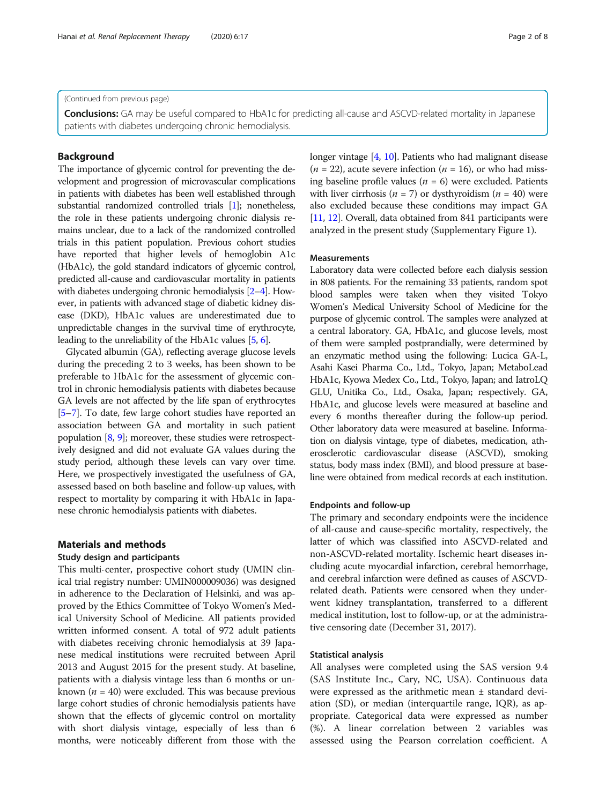(Continued from previous page)

Conclusions: GA may be useful compared to HbA1c for predicting all-cause and ASCVD-related mortality in Japanese patients with diabetes undergoing chronic hemodialysis.

# Background

The importance of glycemic control for preventing the development and progression of microvascular complications in patients with diabetes has been well established through substantial randomized controlled trials [[1](#page-6-0)]; nonetheless, the role in these patients undergoing chronic dialysis remains unclear, due to a lack of the randomized controlled trials in this patient population. Previous cohort studies have reported that higher levels of hemoglobin A1c (HbA1c), the gold standard indicators of glycemic control, predicted all-cause and cardiovascular mortality in patients with diabetes undergoing chronic hemodialysis [\[2](#page-6-0)–[4\]](#page-6-0). However, in patients with advanced stage of diabetic kidney disease (DKD), HbA1c values are underestimated due to unpredictable changes in the survival time of erythrocyte, leading to the unreliability of the HbA1c values [\[5,](#page-6-0) [6\]](#page-6-0).

Glycated albumin (GA), reflecting average glucose levels during the preceding 2 to 3 weeks, has been shown to be preferable to HbA1c for the assessment of glycemic control in chronic hemodialysis patients with diabetes because GA levels are not affected by the life span of erythrocytes [[5](#page-6-0)–[7](#page-6-0)]. To date, few large cohort studies have reported an association between GA and mortality in such patient population [[8,](#page-6-0) [9](#page-6-0)]; moreover, these studies were retrospectively designed and did not evaluate GA values during the study period, although these levels can vary over time. Here, we prospectively investigated the usefulness of GA, assessed based on both baseline and follow-up values, with respect to mortality by comparing it with HbA1c in Japanese chronic hemodialysis patients with diabetes.

# Materials and methods

#### Study design and participants

This multi-center, prospective cohort study (UMIN clinical trial registry number: UMIN000009036) was designed in adherence to the Declaration of Helsinki, and was approved by the Ethics Committee of Tokyo Women's Medical University School of Medicine. All patients provided written informed consent. A total of 972 adult patients with diabetes receiving chronic hemodialysis at 39 Japanese medical institutions were recruited between April 2013 and August 2015 for the present study. At baseline, patients with a dialysis vintage less than 6 months or unknown ( $n = 40$ ) were excluded. This was because previous large cohort studies of chronic hemodialysis patients have shown that the effects of glycemic control on mortality with short dialysis vintage, especially of less than 6 months, were noticeably different from those with the longer vintage [[4](#page-6-0), [10](#page-6-0)]. Patients who had malignant disease  $(n = 22)$ , acute severe infection  $(n = 16)$ , or who had missing baseline profile values ( $n = 6$ ) were excluded. Patients with liver cirrhosis ( $n = 7$ ) or dysthyroidism ( $n = 40$ ) were also excluded because these conditions may impact GA [[11](#page-6-0), [12\]](#page-6-0). Overall, data obtained from 841 participants were analyzed in the present study (Supplementary Figure 1).

## Measurements

Laboratory data were collected before each dialysis session in 808 patients. For the remaining 33 patients, random spot blood samples were taken when they visited Tokyo Women's Medical University School of Medicine for the purpose of glycemic control. The samples were analyzed at a central laboratory. GA, HbA1c, and glucose levels, most of them were sampled postprandially, were determined by an enzymatic method using the following: Lucica GA-L, Asahi Kasei Pharma Co., Ltd., Tokyo, Japan; MetaboLead HbA1c, Kyowa Medex Co., Ltd., Tokyo, Japan; and IatroLQ GLU, Unitika Co., Ltd., Osaka, Japan; respectively. GA, HbA1c, and glucose levels were measured at baseline and every 6 months thereafter during the follow-up period. Other laboratory data were measured at baseline. Information on dialysis vintage, type of diabetes, medication, atherosclerotic cardiovascular disease (ASCVD), smoking status, body mass index (BMI), and blood pressure at baseline were obtained from medical records at each institution.

#### Endpoints and follow-up

The primary and secondary endpoints were the incidence of all-cause and cause-specific mortality, respectively, the latter of which was classified into ASCVD-related and non-ASCVD-related mortality. Ischemic heart diseases including acute myocardial infarction, cerebral hemorrhage, and cerebral infarction were defined as causes of ASCVDrelated death. Patients were censored when they underwent kidney transplantation, transferred to a different medical institution, lost to follow-up, or at the administrative censoring date (December 31, 2017).

#### Statistical analysis

All analyses were completed using the SAS version 9.4 (SAS Institute Inc., Cary, NC, USA). Continuous data were expressed as the arithmetic mean ± standard deviation (SD), or median (interquartile range, IQR), as appropriate. Categorical data were expressed as number (%). A linear correlation between 2 variables was assessed using the Pearson correlation coefficient. A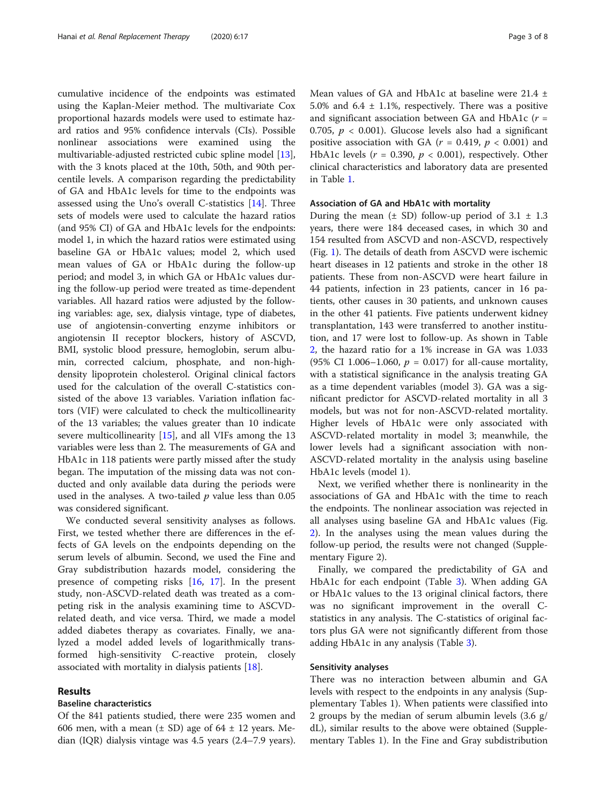cumulative incidence of the endpoints was estimated using the Kaplan-Meier method. The multivariate Cox proportional hazards models were used to estimate hazard ratios and 95% confidence intervals (CIs). Possible nonlinear associations were examined using the multivariable-adjusted restricted cubic spline model [\[13](#page-6-0)], with the 3 knots placed at the 10th, 50th, and 90th percentile levels. A comparison regarding the predictability of GA and HbA1c levels for time to the endpoints was assessed using the Uno's overall C-statistics [\[14\]](#page-6-0). Three sets of models were used to calculate the hazard ratios (and 95% CI) of GA and HbA1c levels for the endpoints: model 1, in which the hazard ratios were estimated using baseline GA or HbA1c values; model 2, which used mean values of GA or HbA1c during the follow-up period; and model 3, in which GA or HbA1c values during the follow-up period were treated as time-dependent variables. All hazard ratios were adjusted by the following variables: age, sex, dialysis vintage, type of diabetes, use of angiotensin-converting enzyme inhibitors or angiotensin II receptor blockers, history of ASCVD, BMI, systolic blood pressure, hemoglobin, serum albumin, corrected calcium, phosphate, and non-highdensity lipoprotein cholesterol. Original clinical factors used for the calculation of the overall C-statistics consisted of the above 13 variables. Variation inflation factors (VIF) were calculated to check the multicollinearity of the 13 variables; the values greater than 10 indicate severe multicollinearity [\[15](#page-6-0)], and all VIFs among the 13 variables were less than 2. The measurements of GA and HbA1c in 118 patients were partly missed after the study began. The imputation of the missing data was not conducted and only available data during the periods were used in the analyses. A two-tailed  $p$  value less than 0.05 was considered significant.

We conducted several sensitivity analyses as follows. First, we tested whether there are differences in the effects of GA levels on the endpoints depending on the serum levels of albumin. Second, we used the Fine and Gray subdistribution hazards model, considering the presence of competing risks [[16](#page-6-0), [17](#page-6-0)]. In the present study, non-ASCVD-related death was treated as a competing risk in the analysis examining time to ASCVDrelated death, and vice versa. Third, we made a model added diabetes therapy as covariates. Finally, we analyzed a model added levels of logarithmically transformed high-sensitivity C-reactive protein, closely associated with mortality in dialysis patients [\[18\]](#page-6-0).

### Results

#### Baseline characteristics

Of the 841 patients studied, there were 235 women and 606 men, with a mean  $(\pm$  SD) age of 64  $\pm$  12 years. Median (IQR) dialysis vintage was 4.5 years (2.4–7.9 years). Mean values of GA and HbA1c at baseline were 21.4 ± 5.0% and  $6.4 \pm 1.1$ %, respectively. There was a positive and significant association between GA and HbA1c ( $r =$ 0.705,  $p < 0.001$ ). Glucose levels also had a significant positive association with GA ( $r = 0.419$ ,  $p < 0.001$ ) and HbA1c levels ( $r = 0.390$ ,  $p < 0.001$ ), respectively. Other clinical characteristics and laboratory data are presented in Table [1.](#page-3-0)

# Association of GA and HbA1c with mortality

During the mean  $(\pm$  SD) follow-up period of 3.1  $\pm$  1.3 years, there were 184 deceased cases, in which 30 and 154 resulted from ASCVD and non-ASCVD, respectively (Fig. [1](#page-3-0)). The details of death from ASCVD were ischemic heart diseases in 12 patients and stroke in the other 18 patients. These from non-ASCVD were heart failure in 44 patients, infection in 23 patients, cancer in 16 patients, other causes in 30 patients, and unknown causes in the other 41 patients. Five patients underwent kidney transplantation, 143 were transferred to another institution, and 17 were lost to follow-up. As shown in Table [2,](#page-4-0) the hazard ratio for a 1% increase in GA was 1.033 (95% CI 1.006–1.060,  $p = 0.017$ ) for all-cause mortality, with a statistical significance in the analysis treating GA as a time dependent variables (model 3). GA was a significant predictor for ASCVD-related mortality in all 3 models, but was not for non-ASCVD-related mortality. Higher levels of HbA1c were only associated with ASCVD-related mortality in model 3; meanwhile, the lower levels had a significant association with non-ASCVD-related mortality in the analysis using baseline HbA1c levels (model 1).

Next, we verified whether there is nonlinearity in the associations of GA and HbA1c with the time to reach the endpoints. The nonlinear association was rejected in all analyses using baseline GA and HbA1c values (Fig. [2\)](#page-4-0). In the analyses using the mean values during the follow-up period, the results were not changed (Supplementary Figure 2).

Finally, we compared the predictability of GA and HbA1c for each endpoint (Table [3](#page-5-0)). When adding GA or HbA1c values to the 13 original clinical factors, there was no significant improvement in the overall Cstatistics in any analysis. The C-statistics of original factors plus GA were not significantly different from those adding HbA1c in any analysis (Table [3](#page-5-0)).

#### Sensitivity analyses

There was no interaction between albumin and GA levels with respect to the endpoints in any analysis (Supplementary Tables 1). When patients were classified into 2 groups by the median of serum albumin levels (3.6 g/ dL), similar results to the above were obtained (Supplementary Tables 1). In the Fine and Gray subdistribution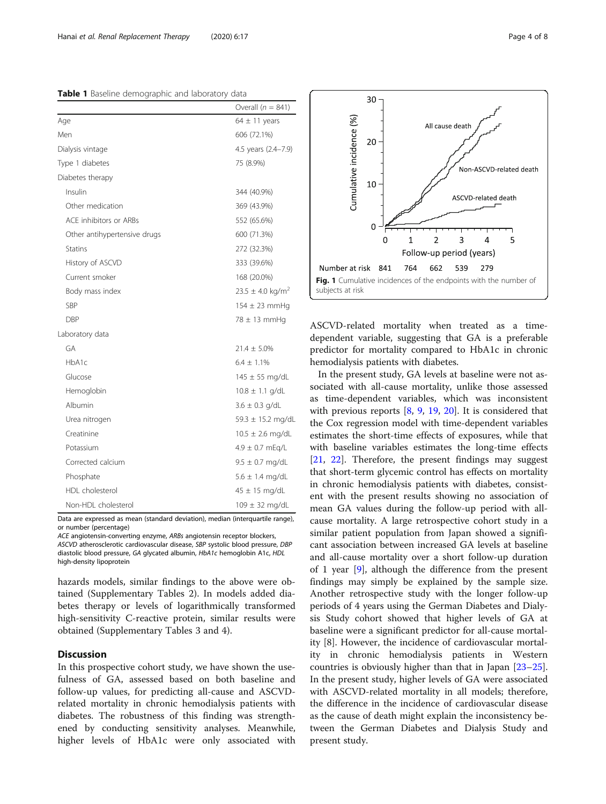<span id="page-3-0"></span>Table 1 Baseline demographic and laboratory data

|                              | Overall $(n = 841)$           |
|------------------------------|-------------------------------|
| Age                          | $64 \pm 11$ years             |
| Men                          | 606 (72.1%)                   |
| Dialysis vintage             | 4.5 years (2.4-7.9)           |
| Type 1 diabetes              | 75 (8.9%)                     |
| Diabetes therapy             |                               |
| Insulin                      | 344 (40.9%)                   |
| Other medication             | 369 (43.9%)                   |
| ACF inhibitors or ARBs       | 552 (65.6%)                   |
| Other antihypertensive drugs | 600 (71.3%)                   |
| <b>Statins</b>               | 272 (32.3%)                   |
| History of ASCVD             | 333 (39.6%)                   |
| Current smoker               | 168 (20.0%)                   |
| Body mass index              | $23.5 \pm 4.0 \text{ kg/m}^2$ |
| SBP                          | $154 \pm 23$ mmHq             |
| DBP                          | $78 \pm 13$ mmHq              |
| Laboratory data              |                               |
| GA                           | $21.4 \pm 5.0\%$              |
| HbA1c                        | $6.4 \pm 1.1\%$               |
| Glucose                      | $145 \pm 55$ mg/dL            |
| Hemoglobin                   | $10.8 \pm 1.1$ g/dL           |
| Albumin                      | $3.6 \pm 0.3$ g/dL            |
| Urea nitrogen                | 59.3 ± 15.2 mg/dL             |
| Creatinine                   | $10.5 \pm 2.6$ mg/dL          |
| Potassium                    | $4.9 \pm 0.7$ mEg/L           |
| Corrected calcium            | $9.5 \pm 0.7$ mg/dL           |
| Phosphate                    | $5.6 \pm 1.4$ mg/dL           |
| HDI cholesterol              | $45 \pm 15$ mg/dL             |
| Non-HDL cholesterol          | $109 \pm 32$ mg/dL            |

Data are expressed as mean (standard deviation), median (interquartile range), or number (percentage)

ACE angiotensin-converting enzyme, ARBs angiotensin receptor blockers, ASCVD atherosclerotic cardiovascular disease, SBP systolic blood pressure, DBP diastolic blood pressure, GA glycated albumin, HbA1c hemoglobin A1c, HDL high-density lipoprotein

hazards models, similar findings to the above were obtained (Supplementary Tables 2). In models added diabetes therapy or levels of logarithmically transformed high-sensitivity C-reactive protein, similar results were obtained (Supplementary Tables 3 and 4).

# **Discussion**

In this prospective cohort study, we have shown the usefulness of GA, assessed based on both baseline and follow-up values, for predicting all-cause and ASCVDrelated mortality in chronic hemodialysis patients with diabetes. The robustness of this finding was strengthened by conducting sensitivity analyses. Meanwhile, higher levels of HbA1c were only associated with



ASCVD-related mortality when treated as a timedependent variable, suggesting that GA is a preferable predictor for mortality compared to HbA1c in chronic hemodialysis patients with diabetes.

In the present study, GA levels at baseline were not associated with all-cause mortality, unlike those assessed as time-dependent variables, which was inconsistent with previous reports [[8,](#page-6-0) [9](#page-6-0), [19,](#page-6-0) [20](#page-6-0)]. It is considered that the Cox regression model with time-dependent variables estimates the short-time effects of exposures, while that with baseline variables estimates the long-time effects [[21,](#page-6-0) [22](#page-6-0)]. Therefore, the present findings may suggest that short-term glycemic control has effects on mortality in chronic hemodialysis patients with diabetes, consistent with the present results showing no association of mean GA values during the follow-up period with allcause mortality. A large retrospective cohort study in a similar patient population from Japan showed a significant association between increased GA levels at baseline and all-cause mortality over a short follow-up duration of 1 year [[9\]](#page-6-0), although the difference from the present findings may simply be explained by the sample size. Another retrospective study with the longer follow-up periods of 4 years using the German Diabetes and Dialysis Study cohort showed that higher levels of GA at baseline were a significant predictor for all-cause mortality [8]. However, the incidence of cardiovascular mortality in chronic hemodialysis patients in Western countries is obviously higher than that in Japan [[23](#page-6-0)–[25](#page-6-0)]. In the present study, higher levels of GA were associated with ASCVD-related mortality in all models; therefore, the difference in the incidence of cardiovascular disease as the cause of death might explain the inconsistency between the German Diabetes and Dialysis Study and present study.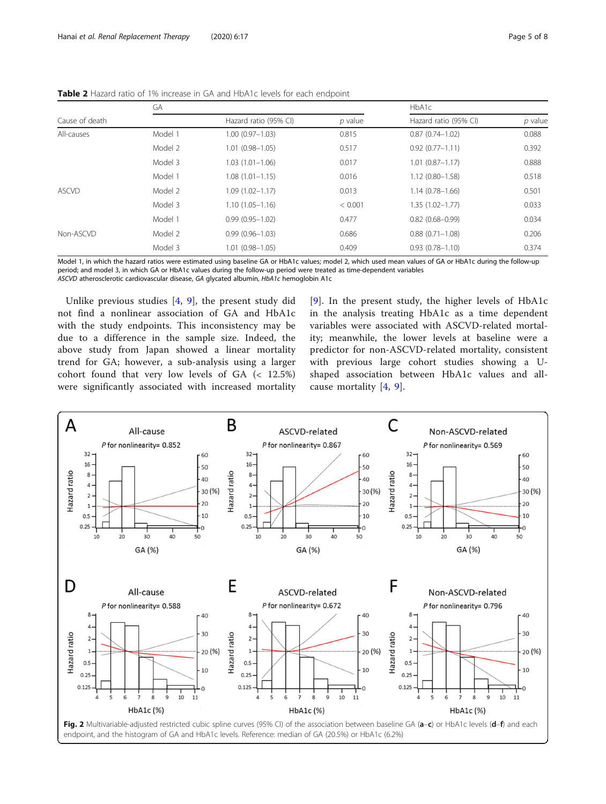|                | GА      |                       | HbA1c     |                       |         |
|----------------|---------|-----------------------|-----------|-----------------------|---------|
| Cause of death |         | Hazard ratio (95% CI) | $p$ value | Hazard ratio (95% CI) | p value |
| All-causes     | Model 1 | $1.00(0.97 - 1.03)$   | 0.815     | $0.87(0.74 - 1.02)$   | 0.088   |
|                | Model 2 | $1.01(0.98 - 1.05)$   | 0.517     | $0.92(0.77 - 1.11)$   | 0.392   |
|                | Model 3 | $1.03(1.01 - 1.06)$   | 0.017     | $1.01(0.87 - 1.17)$   | 0.888   |
|                | Model 1 | $1.08(1.01 - 1.15)$   | 0.016     | $1.12(0.80 - 1.58)$   | 0.518   |
| <b>ASCVD</b>   | Model 2 | $1.09(1.02 - 1.17)$   | 0.013     | $1.14(0.78 - 1.66)$   | 0.501   |
|                | Model 3 | $1.10(1.05 - 1.16)$   | < 0.001   | $1.35(1.02 - 1.77)$   | 0.033   |
|                | Model 1 | $0.99(0.95 - 1.02)$   | 0.477     | $0.82(0.68 - 0.99)$   | 0.034   |
| Non-ASCVD      | Model 2 | $0.99(0.96 - 1.03)$   | 0.686     | $0.88(0.71 - 1.08)$   | 0.206   |
|                | Model 3 | $1.01(0.98 - 1.05)$   | 0.409     | $0.93(0.78 - 1.10)$   | 0.374   |
|                |         |                       |           |                       |         |

<span id="page-4-0"></span>Table 2 Hazard ratio of 1% increase in GA and HbA1c levels for each endpoint

Model 1, in which the hazard ratios were estimated using baseline GA or HbA1c values; model 2, which used mean values of GA or HbA1c during the follow-up period; and model 3, in which GA or HbA1c values during the follow-up period were treated as time-dependent variables ASCVD atherosclerotic cardiovascular disease, GA glycated albumin, HbA1c hemoglobin A1c

Unlike previous studies [\[4](#page-6-0), [9\]](#page-6-0), the present study did not find a nonlinear association of GA and HbA1c with the study endpoints. This inconsistency may be due to a difference in the sample size. Indeed, the above study from Japan showed a linear mortality trend for GA; however, a sub-analysis using a larger cohort found that very low levels of GA (< 12.5%) were significantly associated with increased mortality

[[9](#page-6-0)]. In the present study, the higher levels of HbA1c in the analysis treating HbA1c as a time dependent variables were associated with ASCVD-related mortality; meanwhile, the lower levels at baseline were a predictor for non-ASCVD-related mortality, consistent with previous large cohort studies showing a Ushaped association between HbA1c values and allcause mortality [[4,](#page-6-0) [9\]](#page-6-0).

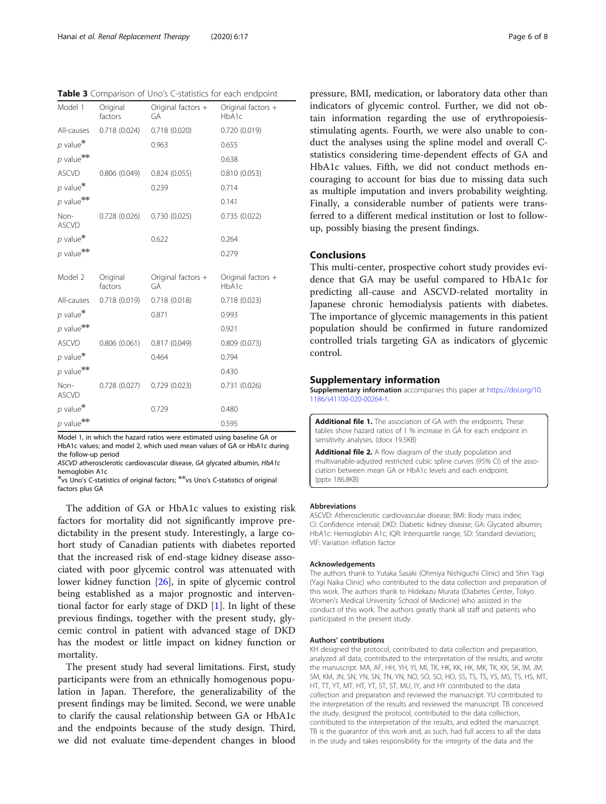<span id="page-5-0"></span>Table 3 Comparison of Uno's C-statistics for each endpoint

| Model 1                 | Original<br>factors | Original factors +<br>GA | Original factors +<br>HbA1c |
|-------------------------|---------------------|--------------------------|-----------------------------|
| All-causes              | 0.718(0.024)        | 0.718(0.020)             | 0.720(0.019)                |
| $p$ value*              |                     | 0.963                    | 0.655                       |
| $p$ value <sup>**</sup> |                     |                          | 0.638                       |
| <b>ASCVD</b>            | 0.806(0.049)        | 0.824(0.055)             | 0.810(0.053)                |
| $p$ value*              |                     | 0.239                    | 0.714                       |
| $p$ value <sup>**</sup> |                     |                          | 0.141                       |
| Non-<br><b>ASCVD</b>    | 0.728(0.026)        | 0.730(0.025)             | 0.735(0.022)                |
| $p$ value*              |                     | 0.622                    | 0.264                       |
| $p$ value <sup>**</sup> |                     |                          | 0.279                       |
| Model 2                 | Original<br>factors | Original factors +<br>GA | Original factors +<br>HbA1c |
| All-causes              | 0.718(0.019)        | 0.718(0.018)             | 0.718(0.023)                |
| $p$ value*              |                     | 0.871                    | 0.993                       |
| $p$ value <sup>**</sup> |                     |                          | 0.921                       |
| <b>ASCVD</b>            | 0.806(0.061)        | 0.817(0.049)             | 0.809(0.073)                |
| $p$ value*              |                     | 0.464                    | 0.794                       |
| $p$ value <sup>**</sup> |                     |                          | 0.430                       |
| Non-<br><b>ASCVD</b>    | 0.728(0.027)        | 0.729(0.023)             | 0.731(0.026)                |
| $p$ value*              |                     | 0.729                    | 0.480                       |
| $p$ value <sup>**</sup> |                     |                          | 0.595                       |

Model 1, in which the hazard ratios were estimated using baseline GA or HbA1c values; and model 2, which used mean values of GA or HbA1c during the follow-up period

ASCVD atherosclerotic cardiovascular disease, GA glycated albumin, HbA1c hemoglobin A1c

✻vs Uno's C-statistics of original factors; ✻✻vs Uno's C-statistics of original factors plus GA

The addition of GA or HbA1c values to existing risk factors for mortality did not significantly improve predictability in the present study. Interestingly, a large cohort study of Canadian patients with diabetes reported that the increased risk of end-stage kidney disease associated with poor glycemic control was attenuated with lower kidney function [[26](#page-7-0)], in spite of glycemic control being established as a major prognostic and interventional factor for early stage of DKD [[1\]](#page-6-0). In light of these previous findings, together with the present study, glycemic control in patient with advanced stage of DKD has the modest or little impact on kidney function or mortality.

The present study had several limitations. First, study participants were from an ethnically homogenous population in Japan. Therefore, the generalizability of the present findings may be limited. Second, we were unable to clarify the causal relationship between GA or HbA1c and the endpoints because of the study design. Third, we did not evaluate time-dependent changes in blood

pressure, BMI, medication, or laboratory data other than indicators of glycemic control. Further, we did not obtain information regarding the use of erythropoiesisstimulating agents. Fourth, we were also unable to conduct the analyses using the spline model and overall Cstatistics considering time-dependent effects of GA and HbA1c values. Fifth, we did not conduct methods encouraging to account for bias due to missing data such as multiple imputation and invers probability weighting. Finally, a considerable number of patients were transferred to a different medical institution or lost to followup, possibly biasing the present findings.

## Conclusions

This multi-center, prospective cohort study provides evidence that GA may be useful compared to HbA1c for predicting all-cause and ASCVD-related mortality in Japanese chronic hemodialysis patients with diabetes. The importance of glycemic managements in this patient population should be confirmed in future randomized controlled trials targeting GA as indicators of glycemic control.

#### Supplementary information

Supplementary information accompanies this paper at [https://doi.org/10.](https://doi.org/10.1186/s41100-020-00264-1) [1186/s41100-020-00264-1](https://doi.org/10.1186/s41100-020-00264-1).

Additional file 1. The association of GA with the endpoints. These tables show hazard ratios of 1 % increase in GA for each endpoint in sensitivity analyses. (docx 19.5KB)

Additional file 2. A flow diagram of the study population and multivariable-adjusted restricted cubic spline curves (95% CI) of the association between mean GA or HbA1c levels and each endpoint. (pptx 186.8KB)

#### Abbreviations

ASCVD: Atherosclerotic cardiovascular disease; BMI: Body mass index; CI: Confidence interval; DKD: Diabetic kidney disease; GA: Glycated albumin; HbA1c: Hemoglobin A1c; IQR: Interquartile range; SD: Standard deviation;; VIF: Variation inflation factor

#### Acknowledgements

The authors thank to Yutaka Sasaki (Ohmiya Nishiguchi Clinic) and Shin Yagi (Yagi Naika Clinic) who contributed to the data collection and preparation of this work. The authors thank to Hidekazu Murata (Diabetes Center, Tokyo Women's Medical University School of Medicine) who assisted in the conduct of this work. The authors greatly thank all staff and patients who participated in the present study.

#### Authors' contributions

KH designed the protocol, contributed to data collection and preparation, analyzed all data, contributed to the interpretation of the results, and wrote the manuscript. MA, AF, HH, YH, YI, MI, TK, HK, KK, HK, MK, TK, KK, SK, IM, JM, SM, KM, JN, SN, YN, SN, TN, YN, NO, SO, SO, HO, SS, TS, TS, YS, MS, TS, HS, MT, HT, TT, YT, MT, HT, YT, ST, ST, MU, IY, and HY contributed to the data collection and preparation and reviewed the manuscript. YU contributed to the interpretation of the results and reviewed the manuscript. TB conceived the study, designed the protocol, contributed to the data collection, contributed to the interpretation of the results, and edited the manuscript. TB is the guarantor of this work and, as such, had full access to all the data in the study and takes responsibility for the integrity of the data and the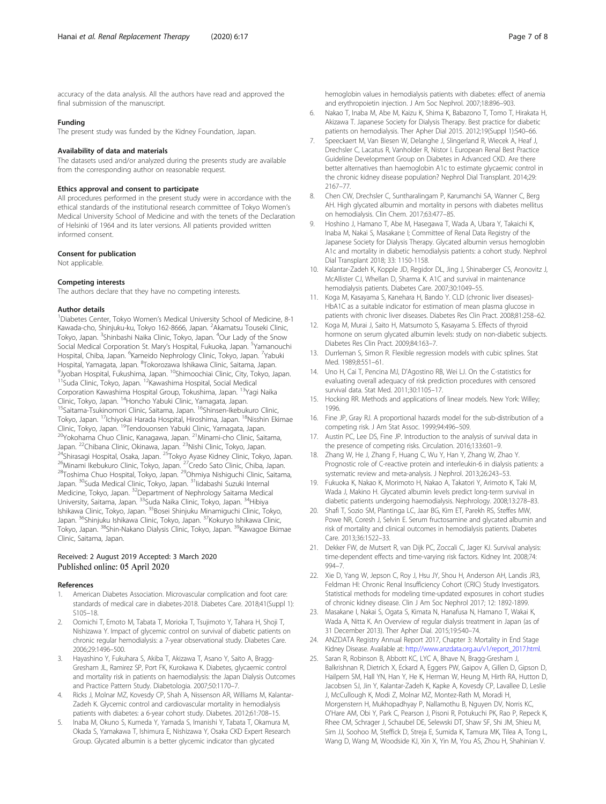<span id="page-6-0"></span>accuracy of the data analysis. All the authors have read and approved the final submission of the manuscript.

#### Funding

The present study was funded by the Kidney Foundation, Japan.

#### Availability of data and materials

The datasets used and/or analyzed during the presents study are available from the corresponding author on reasonable request.

#### Ethics approval and consent to participate

All procedures performed in the present study were in accordance with the ethical standards of the institutional research committee of Tokyo Women's Medical University School of Medicine and with the tenets of the Declaration of Helsinki of 1964 and its later versions. All patients provided written informed consent.

#### Consent for publication

Not applicable.

#### Competing interests

The authors declare that they have no competing interests.

#### Author details

<sup>1</sup>Diabetes Center, Tokyo Women's Medical University School of Medicine, 8-1 Kawada-cho, Shinjuku-ku, Tokyo 162-8666, Japan. <sup>2</sup>Akamatsu Touseki Clinic, Tokyo, Japan. <sup>3</sup>Shinbashi Naika Clinic, Tokyo, Japan. <sup>4</sup>Our Lady of the Snow Social Medical Corporation St. Mary's Hospital, Fukuoka, Japan. <sup>5</sup>Yamanouchi Hospital, Chiba, Japan. <sup>6</sup>Kameido Nephrology Clinic, Tokyo, Japan. <sup>7</sup>Yabuki Hospital, Yamagata, Japan. <sup>8</sup>Tokorozawa Ishikawa Clinic, Saitama, Japan.<br><sup>9</sup> Juahan Hospital, Fukushima, Japan. <sup>10</sup>Shimoochiai Clinic, City Tokyo, I <sup>9</sup>Jyoban Hospital, Fukushima, Japan. <sup>10</sup>Shimoochiai Clinic, City, Tokyo, Japan.<br><sup>11</sup>Suda Clinic, Tokyo, Japan. <sup>12</sup>Kawashima Hospital, Social Medical Corporation Kawashima Hospital Group, Tokushima, Japan. <sup>13</sup>Yagi Naika<br>Clinic, Tokyo, Japan. <sup>14</sup>Honcho Yabuki Clinic, Yamagata, Japan. <sup>15</sup>Saitama-Tsukinomori Clinic, Saitama, Japan. <sup>16</sup>Shinsen-Ikebukuro Clinic, Tokyo, Japan. <sup>17</sup>Ichiyokai Harada Hospital, Hiroshima, Japan. <sup>18</sup>Nisshin Ekimae<br>Clinic, Tokyo, Japan. <sup>19</sup>Tendouonsen Yabuki Clinic, Yamagata, Japan. <sup>20</sup>Yokohama Chuo Clinic, Kanagawa, Japan. <sup>21</sup>Minami-cho Clinic, Saitama,<br>Japan. <sup>22</sup>Chibana Clinic, Okinawa, Japan. <sup>23</sup>Nishi Clinic, Tokyo, Japan. <sup>24</sup>Shirasagi Hospital, Osaka, Japan. <sup>25</sup>Tokyo Ayase Kidney Clinic, Tokyo, Japan.<br><sup>26</sup>Minami Ikebukuro Clinic, Tokyo, Japan. <sup>27</sup>Credo Sato Clinic, Chiba, Japan.<br><sup>28</sup>Toshima Chuo Hospital, Tokyo, Japan. <sup>29</sup>Ohmiya Nishiqu Japan. 30Suda Medical Clinic, Tokyo, Japan. 31Iidabashi Suzuki Internal Medicine, Tokyo, Japan. 32Department of Nephrology Saitama Medical University, Saitama, Japan. <sup>33</sup>Suda Naika Clinic, Tokyo, Japan. <sup>34</sup>Hibiya Ishikawa Clinic, Tokyo, Japan. <sup>35</sup>Bosei Shinjuku Minamiguchi Clinic, Tokyo, Japan. <sup>36</sup>Shinjuku Ishikawa Clinic, Tokyo, Japan. <sup>37</sup>Kokuryo Ishikawa Clinic, Tokyo, Japan. 38Shin-Nakano Dialysis Clinic, Tokyo, Japan. 39Kawagoe Ekimae Clinic, Saitama, Japan.

#### Received: 2 August 2019 Accepted: 3 March 2020 Published online: 05 April 2020

#### References

- American Diabetes Association. Microvascular complication and foot care: standards of medical care in diabetes-2018. Diabetes Care. 2018;41(Suppl 1): S105–18.
- 2. Oomichi T, Emoto M, Tabata T, Morioka T, Tsujimoto Y, Tahara H, Shoji T, Nishizawa Y. Impact of glycemic control on survival of diabetic patients on chronic regular hemodialysis: a 7-year observational study. Diabetes Care. 2006;29:1496–500.
- Hayashino Y, Fukuhara S, Akiba T, Akizawa T, Asano Y, Saito A, Bragg-Gresham JL, Ramirez SP, Port FK, Kurokawa K. Diabetes, glycaemic control and mortality risk in patients on haemodialysis: the Japan Dialysis Outcomes and Practice Pattern Study. Diabetologia. 2007;50:1170–7.
- 4. Ricks J, Molnar MZ, Kovesdy CP, Shah A, Nissenson AR, Williams M, Kalantar-Zadeh K. Glycemic control and cardiovascular mortality in hemodialysis patients with diabetes: a 6-year cohort study. Diabetes. 2012;61:708–15.
- 5. Inaba M, Okuno S, Kumeda Y, Yamada S, Imanishi Y, Tabata T, Okamura M, Okada S, Yamakawa T, Ishimura E, Nishizawa Y, Osaka CKD Expert Research Group. Glycated albumin is a better glycemic indicator than glycated

hemoglobin values in hemodialysis patients with diabetes: effect of anemia and erythropoietin injection. J Am Soc Nephrol. 2007;18:896–903.

- 6. Nakao T, Inaba M, Abe M, Kaizu K, Shima K, Babazono T, Tomo T, Hirakata H, Akizawa T. Japanese Society for Dialysis Therapy. Best practice for diabetic patients on hemodialysis. Ther Apher Dial 2015. 2012;19(Suppl 1):S40–66.
- 7. Speeckaert M, Van Biesen W, Delanghe J, Slingerland R, Wiecek A, Heaf J, Drechsler C, Lacatus R, Vanholder R, Nistor I. European Renal Best Practice Guideline Development Group on Diabetes in Advanced CKD. Are there better alternatives than haemoglobin A1c to estimate glycaemic control in the chronic kidney disease population? Nephrol Dial Transplant. 2014;29: 2167–77.
- 8. Chen CW, Drechsler C, Suntharalingam P, Karumanchi SA, Wanner C, Berg AH. High glycated albumin and mortality in persons with diabetes mellitus on hemodialysis. Clin Chem. 2017;63:477–85.
- 9. Hoshino J, Hamano T, Abe M, Hasegawa T, Wada A, Ubara Y, Takaichi K, Inaba M, Nakai S, Masakane I; Committee of Renal Data Registry of the Japanese Society for Dialysis Therapy. Glycated albumin versus hemoglobin A1c and mortality in diabetic hemodialysis patients: a cohort study. Nephrol Dial Transplant 2018; 33: 1150-1158.
- 10. Kalantar-Zadeh K, Kopple JD, Regidor DL, Jing J, Shinaberger CS, Aronovitz J, McAllister CJ, Whellan D, Sharma K. A1C and survival in maintenance hemodialysis patients. Diabetes Care. 2007;30:1049–55.
- 11. Koga M, Kasayama S, Kanehara H, Bando Y. CLD (chronic liver diseases)- HbA1C as a suitable indicator for estimation of mean plasma glucose in patients with chronic liver diseases. Diabetes Res Clin Pract. 2008;81:258–62.
- 12. Koga M, Murai J, Saito H, Matsumoto S, Kasayama S. Effects of thyroid hormone on serum glycated albumin levels: study on non-diabetic subjects. Diabetes Res Clin Pract. 2009;84:163–7.
- 13. Durrleman S, Simon R. Flexible regression models with cubic splines. Stat Med. 1989;8:551–61.
- 14. Uno H, Cai T, Pencina MJ, D'Agostino RB, Wei LJ. On the C-statistics for evaluating overall adequacy of risk prediction procedures with censored survival data. Stat Med. 2011;30:1105–17.
- 15. Hocking RR. Methods and applications of linear models. New York: Willey; 1996.
- 16. Fine JP, Gray RJ. A proportional hazards model for the sub-distribution of a competing risk. J Am Stat Assoc. 1999;94:496–509.
- 17. Austin PC, Lee DS, Fine JP. Introduction to the analysis of survival data in the presence of competing risks. Circulation. 2016;133:601–9.
- 18. Zhang W, He J, Zhang F, Huang C, Wu Y, Han Y, Zhang W, Zhao Y. Prognostic role of C-reactive protein and interleukin-6 in dialysis patients: a systematic review and meta-analysis. J Nephrol. 2013;26:243–53.
- 19. Fukuoka K, Nakao K, Morimoto H, Nakao A, Takatori Y, Arimoto K, Taki M, Wada J, Makino H. Glycated albumin levels predict long-term survival in diabetic patients undergoing haemodialysis. Nephrology. 2008;13:278–83.
- 20. Shafi T, Sozio SM, Plantinga LC, Jaar BG, Kim ET, Parekh RS, Steffes MW, Powe NR, Coresh J, Selvin E. Serum fructosamine and glycated albumin and risk of mortality and clinical outcomes in hemodialysis patients. Diabetes Care. 2013;36:1522–33.
- 21. Dekker FW, de Mutsert R, van Dijk PC, Zoccali C, Jager KJ. Survival analysis: time-dependent effects and time-varying risk factors. Kidney Int. 2008;74: 994–7.
- 22. Xie D, Yang W, Jepson C, Roy J, Hsu JY, Shou H, Anderson AH, Landis JR3, Feldman HI: Chronic Renal Insufficiency Cohort (CRIC) Study Investigators. Statistical methods for modeling time-updated exposures in cohort studies of chronic kidney disease. Clin J Am Soc Nephrol 2017; 12: 1892-1899.
- 23. Masakane I, Nakai S, Ogata S, Kimata N, Hanafusa N, Hamano T, Wakai K, Wada A, Nitta K. An Overview of regular dialysis treatment in Japan (as of 31 December 2013). Ther Apher Dial. 2015;19:540–74.
- 24. ANZDATA Registry Annual Report 2017, Chapter 3: Mortality in End Stage Kidney Disease. Available at: [http://www.anzdata.org.au/v1/report\\_2017.html.](http://www.anzdata.org.au/v1/report_2017.html)
- 25. Saran R, Robinson B, Abbott KC, LYC A, Bhave N, Bragg-Gresham J, Balkrishnan R, Dietrich X, Eckard A, Eggers PW, Gaipov A, Gillen D, Gipson D, Hailpern SM, Hall YN, Han Y, He K, Herman W, Heung M, Hirth RA, Hutton D, Jacobsen SJ, Jin Y, Kalantar-Zadeh K, Kapke A, Kovesdy CP, Lavallee D, Leslie J, McCullough K, Modi Z, Molnar MZ, Montez-Rath M, Moradi H, Morgenstern H, Mukhopadhyay P, Nallamothu B, Nguyen DV, Norris KC, O'Hare AM, Obi Y, Park C, Pearson J, Pisoni R, Potukuchi PK, Rao P, Repeck K, Rhee CM, Schrager J, Schaubel DE, Selewski DT, Shaw SF, Shi JM, Shieu M, Sim JJ, Soohoo M, Steffick D, Streja E, Sumida K, Tamura MK, Tilea A, Tong L, Wang D, Wang M, Woodside KJ, Xin X, Yin M, You AS, Zhou H, Shahinian V.